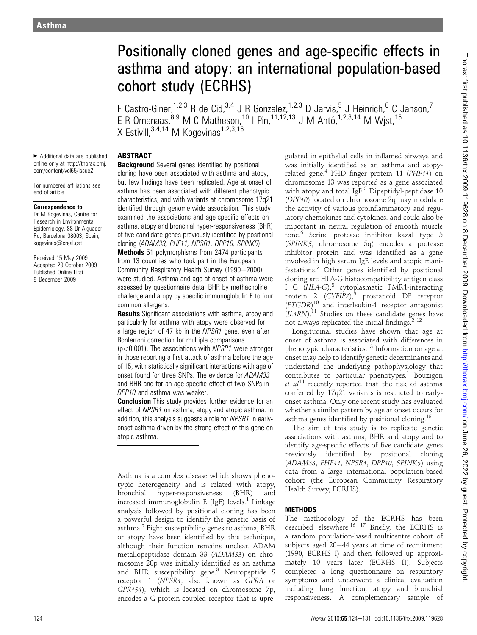# Positionally cloned genes and age-specific effects in asthma and atopy: an international population-based cohort study (ECRHS)

F Castro-Giner,<sup>1,2,3</sup> R de Cid,<sup>3,4</sup> J R Gonzalez,<sup>1,2,3</sup> D Jarvis,<sup>5</sup> J Heinrich,<sup>6</sup> C Janson,<sup>7</sup> E R Omenaas,  $8.9$  M C Matheson,  $10$  I Pin,  $11.12,13$  J M Antó,  $1.2,3.14$  M Wjst,  $15$ X Estivill,  $3,4,14$  M Kogevinas<sup>1,2,3,16</sup>

▶ Additional data are published online only at http://thorax.bmj. com/content/vol65/issue2

ABSTRACT

For numbered affiliations see end of article

#### Correspondence to

Dr M Kogevinas, Centre for Research in Environmental Epidemiology, 88 Dr Aiguader Rd, Barcelona 08003, Spain; kogevinas@creal.cat

Received 15 May 2009 Accepted 29 October 2009 Published Online First 8 December 2009

**Background** Several genes identified by positional cloning have been associated with asthma and atopy, but few findings have been replicated. Age at onset of asthma has been associated with different phenotypic characteristics, and with variants at chromosome 17q21 identified through genome-wide association. This study examined the associations and age-specific effects on asthma, atopy and bronchial hyper-responsiveness (BHR) of five candidate genes previously identified by positional cloning (ADAM33, PHF11, NPSR1, DPP10, SPINK5).

Methods 51 polymorphisms from 2474 participants from 13 countries who took part in the European Community Respiratory Health Survey (1990-2000) were studied. Asthma and age at onset of asthma were assessed by questionnaire data, BHR by methacholine challenge and atopy by specific immunoglobulin E to four common allergens.

**Results** Significant associations with asthma, atopy and particularly for asthma with atopy were observed for a large region of 47 kb in the NPSR1 gene, even after Bonferroni correction for multiple comparisons

 $(p<0.001)$ . The associations with NPSR1 were stronger in those reporting a first attack of asthma before the age of 15, with statistically significant interactions with age of onset found for three SNPs. The evidence for ADAM33 and BHR and for an age-specific effect of two SNPs in DPP10 and asthma was weaker.

**Conclusion** This study provides further evidence for an effect of NPSR1 on asthma, atopy and atopic asthma. In addition, this analysis suggests a role for NPSR1 in earlyonset asthma driven by the strong effect of this gene on atopic asthma.

Asthma is a complex disease which shows phenotypic heterogeneity and is related with atopy, bronchial hyper-responsiveness (BHR) and increased immunoglobulin E (IgE) levels.<sup>1</sup> Linkage analysis followed by positional cloning has been a powerful design to identify the genetic basis of asthma.<sup>2</sup> Eight susceptibility genes to asthma, BHR or atopy have been identified by this technique, although their function remains unclear. ADAM metallopeptidase domain 33 (ADAM33) on chromosome 20p was initially identified as an asthma and BHR susceptibility gene.<sup>3</sup> Neuropeptide S receptor 1 (NPSR1, also known as GPRA or GPR154), which is located on chromosome 7p, encodes a G-protein-coupled receptor that is upregulated in epithelial cells in inflamed airways and was initially identified as an asthma and atopyrelated gene.<sup>4</sup> PHD finger protein 11 (PHF11) on chromosome 13 was reported as a gene associated with atopy and total IgE.<sup>5</sup> Dipeptidyl-peptidase  $10$ (DPP10) located on chromosome 2q may modulate the activity of various proinflammatory and regulatory chemokines and cytokines, and could also be important in neural regulation of smooth muscle tone.<sup>6</sup> Serine protease inhibitor kazal type 5 (SPINK5, chromosome 5q) encodes a protease inhibitor protein and was identified as a gene involved in high serum IgE levels and atopic manifestations.<sup>7</sup> Other genes identified by positional cloning are HLA-G histocompatibility antigen class I G (HLA-G),<sup>8</sup> cytoplasmatic FMR1-interacting protein 2 (CYFIP2),<sup>9</sup> prostanoid DP receptor (PTGDR) <sup>10</sup> and interleukin-1 receptor antagonist  $(IL1RN)$ .<sup>11</sup> Studies on these candidate genes have not always replicated the initial findings. $2^{12}$ 

Longitudinal studies have shown that age at onset of asthma is associated with differences in phenotypic characteristics.<sup>13</sup> Information on age at onset may help to identify genetic determinants and understand the underlying pathophysiology that contributes to particular phenotypes.<sup>1</sup> Bouzigon et  $al^{14}$  recently reported that the risk of asthma conferred by 17q21 variants is restricted to earlyonset asthma. Only one recent study has evaluated whether a similar pattern by age at onset occurs for asthma genes identified by positional cloning.<sup>15</sup>

The aim of this study is to replicate genetic associations with asthma, BHR and atopy and to identify age-specific effects of five candidate genes previously identified by positional cloning (ADAM33, PHF11, NPSR1, DPP10, SPINK5) using data from a large international population-based cohort (the European Community Respiratory Health Survey, ECRHS).

# **METHODS**

The methodology of the ECRHS has been described elsewhere.<sup>16 17</sup> Briefly, the ECRHS is a random population-based multicentre cohort of subjects aged  $20-44$  years at time of recruitment (1990, ECRHS I) and then followed up approximately 10 years later (ECRHS II). Subjects completed a long questionnaire on respiratory symptoms and underwent a clinical evaluation including lung function, atopy and bronchial responsiveness. A complementary sample of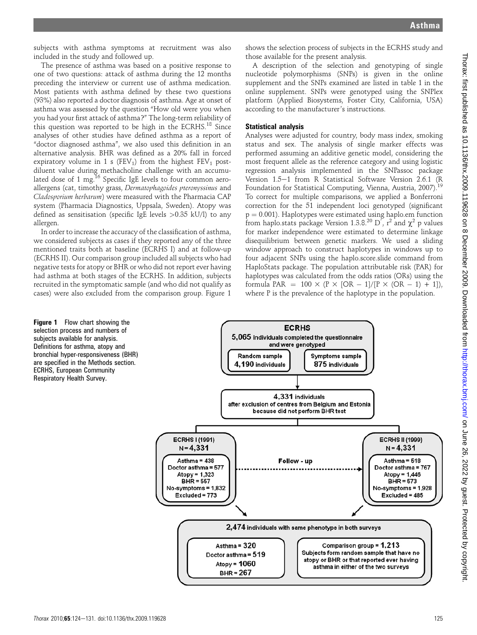subjects with asthma symptoms at recruitment was also included in the study and followed up.

The presence of asthma was based on a positive response to one of two questions: attack of asthma during the 12 months preceding the interview or current use of asthma medication. Most patients with asthma defined by these two questions (93%) also reported a doctor diagnosis of asthma. Age at onset of asthma was assessed by the question "How old were you when you had your first attack of asthma?" The long-term reliability of this question was reported to be high in the ECRHS.<sup>18</sup> Since analyses of other studies have defined asthma as a report of "doctor diagnosed asthma", we also used this definition in an alternative analysis. BHR was defined as a 20% fall in forced expiratory volume in 1 s (FEV<sub>1</sub>) from the highest  $FEV<sub>1</sub>$  postdiluent value during methacholine challenge with an accumulated dose of 1 mg.<sup>16</sup> Specific IgE levels to four common aeroallergens (cat, timothy grass, Dermatophagoides pteronyssinus and Cladosporium herbarum) were measured with the Pharmacia CAP system (Pharmacia Diagnostics, Uppsala, Sweden). Atopy was defined as sensitisation (specific IgE levels >0.35 kU/l) to any allergen.

In order to increase the accuracy of the classification of asthma, we considered subjects as cases if they reported any of the three mentioned traits both at baseline (ECRHS I) and at follow-up (ECRHS II). Our comparison group included all subjects who had negative tests for atopy or BHR or who did not report ever having had asthma at both stages of the ECRHS. In addition, subjects recruited in the symptomatic sample (and who did not qualify as cases) were also excluded from the comparison group. Figure 1

**Figure 1** Flow chart showing the selection process and numbers of subjects available for analysis. Definitions for asthma, atopy and bronchial hyper-responsiveness (BHR) are specified in the Methods section. ECRHS, European Community Respiratory Health Survey.

shows the selection process of subjects in the ECRHS study and those available for the present analysis.

A description of the selection and genotyping of single nucleotide polymorphisms (SNPs) is given in the online supplement and the SNPs examined are listed in table 1 in the online supplement. SNPs were genotyped using the SNPlex platform (Applied Biosystems, Foster City, California, USA) according to the manufacturer's instructions.

## Statistical analysis

Analyses were adjusted for country, body mass index, smoking status and sex. The analysis of single marker effects was performed assuming an additive genetic model, considering the most frequent allele as the reference category and using logistic regression analysis implemented in the SNPassoc package Version 1.5-1 from R Statistical Software Version 2.6.1 (R Foundation for Statistical Computing, Vienna, Austria, 2007).<sup>19</sup> To correct for multiple comparisons, we applied a Bonferroni correction for the 51 independent loci genotyped (significant  $p = 0.001$ ). Haplotypes were estimated using haplo.em function from haplo.stats package Version 1.3.8.<sup>20</sup> D<sup>7</sup>,  $r^2$  and  $\chi^2$  p values for marker independence were estimated to determine linkage disequilibrium between genetic markers. We used a sliding window approach to construct haplotypes in windows up to four adjacent SNPs using the haplo.score.slide command from HaploStats package. The population attributable risk (PAR) for haplotypes was calculated from the odds ratios (ORs) using the formula PAR =  $100 \times (P \times [OR - 1]/[P \times (OR - 1) + 1])$ , where P is the prevalence of the haplotype in the population.

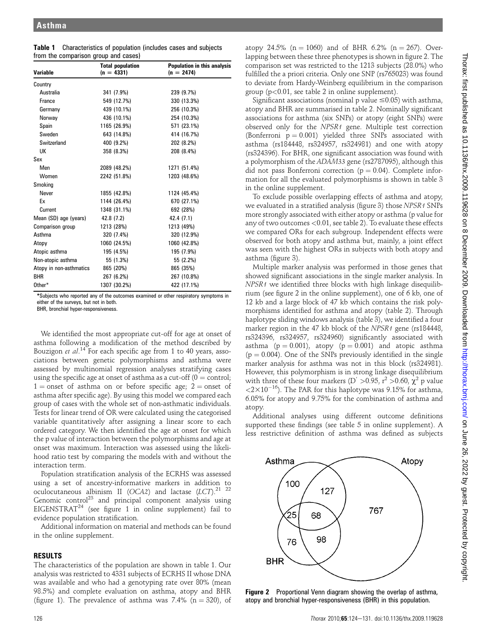| <b>Table 1</b> Characteristics of population (includes cases and subjects |
|---------------------------------------------------------------------------|
| from the comparison group and cases)                                      |

| <b>Variable</b>         | <b>Total population</b><br>$(n = 4331)$ | <b>Population in this analysis</b><br>$(n = 2474)$ |
|-------------------------|-----------------------------------------|----------------------------------------------------|
| Country                 |                                         |                                                    |
| Australia               | 341 (7.9%)                              | 239 (9.7%)                                         |
| France                  | 549 (12.7%)                             | 330 (13.3%)                                        |
| Germany                 | 439 (10.1%)                             | 256 (10.3%)                                        |
| Norway                  | 436 (10.1%)                             | 254 (10.3%)                                        |
| Spain                   | 1165 (26.9%)                            | 571 (23.1%)                                        |
| Sweden                  | 643 (14.8%)                             | 414 (16.7%)                                        |
| Switzerland             | 400 (9.2%)                              | 202 (8.2%)                                         |
| UK                      | 358 (8.3%)                              | 208 (8.4%)                                         |
| Sex                     |                                         |                                                    |
| Men                     | 2089 (48.2%)                            | 1271 (51.4%)                                       |
| Women                   | 2242 (51.8%)                            | 1203 (48.6%)                                       |
| Smoking                 |                                         |                                                    |
| Never                   | 1855 (42.8%)                            | 1124 (45.4%)                                       |
| Ex                      | 1144 (26.4%)                            | 670 (27.1%)                                        |
| Current                 | 1348 (31.1%)                            | 692 (28%)                                          |
| Mean (SD) age (years)   | 42.8 (7.2)                              | 42.4 (7.1)                                         |
| Comparison group        | 1213 (28%)                              | 1213 (49%)                                         |
| Asthma                  | 320 (7.4%)                              | 320 (12.9%)                                        |
| Atopy                   | 1060 (24.5%)                            | 1060 (42.8%)                                       |
| Atopic asthma           | 195 (4.5%)                              | 195 (7.9%)                                         |
| Non-atopic asthma       | 55 (1.3%)                               | 55 (2.2%)                                          |
| Atopy in non-asthmatics | 865 (20%)                               | 865 (35%)                                          |
| <b>BHR</b>              | 267 (6.2%)                              | 267 (10.8%)                                        |
| Other*                  | 1307 (30.2%)                            | 422 (17.1%)                                        |

\*Subjects who reported any of the outcomes examined or other respiratory symptoms in either of the surveys, but not in both.

BHR, bronchial hyper-responsiveness.

We identified the most appropriate cut-off for age at onset of asthma following a modification of the method described by Bouzigon et al.<sup>14</sup> For each specific age from 1 to 40 years, associations between genetic polymorphisms and asthma were assessed by multinomial regression analyses stratifying cases using the specific age at onset of asthma as a cut-off ( $0 =$  control;  $1 =$  onset of asthma on or before specific age;  $2 =$  onset of asthma after specific age). By using this model we compared each group of cases with the whole set of non-asthmatic individuals. Tests for linear trend of OR were calculated using the categorised variable quantitatively after assigning a linear score to each ordered category. We then identified the age at onset for which the p value of interaction between the polymorphisms and age at onset was maximum. Interaction was assessed using the likelihood ratio test by comparing the models with and without the interaction term.

Population stratification analysis of the ECRHS was assessed using a set of ancestry-informative markers in addition to oculocutaneous albinism II (OCA2) and lactase  $(LCT)^{21-22}$ Genomic control<sup>23</sup> and principal component analysis using EIGENSTRAT<sup>24</sup> (see figure 1 in online supplement) fail to evidence population stratification.

Additional information on material and methods can be found in the online supplement.

## RESULTS

The characteristics of the population are shown in table 1. Our analysis was restricted to 4331 subjects of ECRHS II whose DNA was available and who had a genotyping rate over 80% (mean 98.5%) and complete evaluation on asthma, atopy and BHR (figure 1). The prevalence of asthma was 7.4% ( $n = 320$ ), of

atopy 24.5% (n = 1060) and of BHR 6.2% (n = 267). Overlapping between these three phenotypes is shown in figure 2. The comparison set was restricted to the 1213 subjects (28.0%) who fulfilled the a priori criteria. Only one SNP (rs765023) was found to deviate from Hardy-Weinberg equilibrium in the comparison group (p<0.01, see table 2 in online supplement).

Significant associations (nominal p value  $\leq$ 0.05) with asthma, atopy and BHR are summarised in table 2. Nominally significant associations for asthma (six SNPs) or atopy (eight SNPs) were observed only for the NPSR1 gene. Multiple test correction (Bonferroni  $p = 0.001$ ) yielded three SNPs associated with asthma (rs184448, rs324957, rs324981) and one with atopy (rs324396). For BHR, one significant association was found with a polymorphism of the ADAM33 gene (rs2787095), although this did not pass Bonferroni correction ( $p = 0.04$ ). Complete information for all the evaluated polymorphisms is shown in table 3 in the online supplement.

To exclude possible overlapping effects of asthma and atopy, we evaluated in a stratified analysis (figure 3) those NPSR1 SNPs more strongly associated with either atopy or asthma (p value for any of two outcomes <0.01, see table 2). To evaluate these effects we compared ORs for each subgroup. Independent effects were observed for both atopy and asthma but, mainly, a joint effect was seen with the highest ORs in subjects with both atopy and asthma (figure 3).

Multiple marker analysis was performed in those genes that showed significant associations in the single marker analysis. In NPSR1 we identified three blocks with high linkage disequilibrium (see figure 2 in the online supplement), one of 6 kb, one of 12 kb and a large block of 47 kb which contains the risk polymorphisms identified for asthma and atopy (table 2). Through haplotype sliding windows analysis (table 3), we identified a four marker region in the 47 kb block of the NPSR1 gene (rs184448, rs324396, rs324957, rs324960) significantly associated with asthma ( $p = 0.001$ ), atopy ( $p = 0.001$ ) and atopic asthma  $(p = 0.004)$ . One of the SNPs previously identified in the single marker analysis for asthma was not in this block (rs324981). However, this polymorphism is in strong linkage disequilibrium with three of these four markers (D' >0.95,  $r^2$  >0.60,  $\chi^2$  p value  $\langle 2 \times 10^{-16}$ ). The PAR for this haplotype was 9.15% for asthma, 6.05% for atopy and 9.75% for the combination of asthma and atopy.

Additional analyses using different outcome definitions supported these findings (see table 5 in online supplement). A less restrictive definition of asthma was defined as subjects



**Figure 2** Proportional Venn diagram showing the overlap of asthma, atopy and bronchial hyper-responsiveness (BHR) in this population.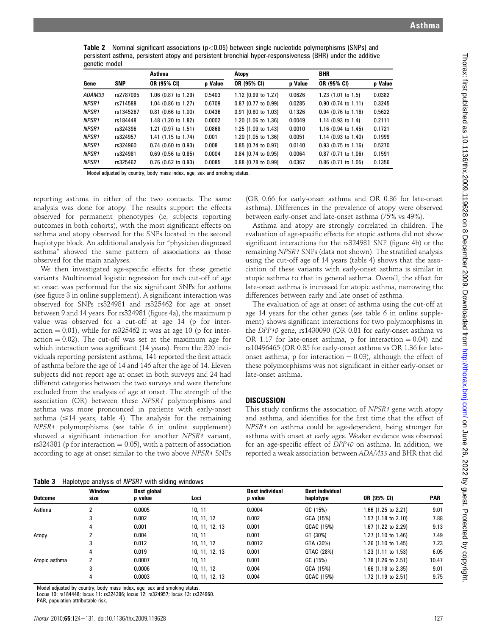**Table 2** Nominal significant associations ( $p < 0.05$ ) between single nucleotide polymorphisms (SNPs) and persistent asthma, persistent atopy and persistent bronchial hyper-responsiveness (BHR) under the additive genetic model

|               | <b>SNP</b> | Asthma                   |         | Atopy                         |         | <b>BHR</b>               |         |
|---------------|------------|--------------------------|---------|-------------------------------|---------|--------------------------|---------|
| Gene          |            | OR (95% CI)              | p Value | OR (95% CI)                   | p Value | OR (95% CI)              | p Value |
| <i>ADAM33</i> | rs2787095  | $1.06$ (0.87 to 1.29)    | 0.5403  | $1.12$ (0.99 to 1.27)         | 0.0626  | $1.23$ (1.01 to 1.5)     | 0.0382  |
| <b>NPSR1</b>  | rs714588   | 1.04 (0.86 to 1.27)      | 0.6709  | $0.87$ (0.77 to 0.99)         | 0.0285  | $0.90$ (0.74 to 1.11)    | 0.3245  |
| <b>NPSR1</b>  | rs1345267  | $0.81$ (0.66 to 1.00)    | 0.0436  | $0.91$ (0.80 to 1.03)         | 0.1326  | $0.94$ (0.76 to 1.16)    | 0.5622  |
| <b>NPSR1</b>  | rs184448   | 1.48 (1.20 to 1.82)      | 0.0002  | $1.20$ (1.06 to 1.36)         | 0.0049  | $1.14$ (0.93 to 1.4)     | 0.2111  |
| <b>NPSR1</b>  | rs324396   | $1.21$ (0.97 to $1.51$ ) | 0.0868  | $1.25(1.09 \text{ to } 1.43)$ | 0.0010  | $1.16$ (0.94 to $1.45$ ) | 0.1721  |
| <b>NPSR1</b>  | rs324957   | 1.41 (1.15 to 1.74)      | 0.001   | 1.20 (1.05 to 1.36)           | 0.0051  | 1.14 $(0.93$ to 1.40)    | 0.1999  |
| <b>NPSR1</b>  | rs324960   | $0.74$ (0.60 to 0.93)    | 0.008   | $0.85$ (0.74 to 0.97)         | 0.0140  | $0.93$ (0.75 to 1.16)    | 0.5270  |
| <b>NPSR1</b>  | rs324981   | $0.69$ (0.56 to 0.85)    | 0.0004  | $0.84$ (0.74 to 0.95)         | 0.0064  | $0.87$ (0.71 to 1.06)    | 0.1591  |
| <b>NPSR1</b>  | rs325462   | $0.76$ (0.62 to 0.93)    | 0.0085  | $0.88$ (0.78 to 0.99)         | 0.0367  | $0.86$ (0.71 to 1.05)    | 0.1356  |

Model adjusted by country, body mass index, age, sex and smoking status.

reporting asthma in either of the two contacts. The same analysis was done for atopy. The results support the effects observed for permanent phenotypes (ie, subjects reporting outcomes in both cohorts), with the most significant effects on asthma and atopy observed for the SNPs located in the second haplotype block. An additional analysis for "physician diagnosed asthma" showed the same pattern of associations as those observed for the main analyses.

We then investigated age-specific effects for these genetic variants. Multinomial logistic regression for each cut-off of age at onset was performed for the six significant SNPs for asthma (see figure 3 in online supplement). A significant interaction was observed for SNPs rs324981 and rs325462 for age at onset between 9 and 14 years. For rs324981 (figure 4a), the maximum p value was observed for a cut-off at age 14 (p for interaction  $= 0.01$ ), while for rs325462 it was at age 10 (p for interaction  $= 0.02$ ). The cut-off was set at the maximum age for which interaction was significant (14 years). From the 320 individuals reporting persistent asthma, 141 reported the first attack of asthma before the age of 14 and 146 after the age of 14. Eleven subjects did not report age at onset in both surveys and 24 had different categories between the two surveys and were therefore excluded from the analysis of age at onset. The strength of the association (OR) between these NPSR1 polymorphisms and asthma was more pronounced in patients with early-onset asthma  $(\leq 14$  years, table 4). The analysis for the remaining NPSR1 polymorphisms (see table 6 in online supplement) showed a significant interaction for another NPSR1 variant, rs324381 (p for interaction  $= 0.05$ ), with a pattern of association according to age at onset similar to the two above NPSR1 SNPs

(OR 0.66 for early-onset asthma and OR 0.86 for late-onset asthma). Differences in the prevalence of atopy were observed between early-onset and late-onset asthma (75% vs 49%).

Asthma and atopy are strongly correlated in children. The evaluation of age-specific effects for atopic asthma did not show significant interactions for the rs324981 SNP (figure 4b) or the remaining NPSR1 SNPs (data not shown). The stratified analysis using the cut-off age of 14 years (table 4) shows that the association of these variants with early-onset asthma is similar in atopic asthma to that in general asthma. Overall, the effect for late-onset asthma is increased for atopic asthma, narrowing the differences between early and late onset of asthma.

The evaluation of age at onset of asthma using the cut-off at age 14 years for the other genes (see table 6 in online supplement) shows significant interactions for two polymorphisms in the DPP10 gene, rs1430090 (OR 0.81 for early-onset asthma vs OR 1.17 for late-onset asthma, p for interaction  $= 0.04$ ) and rs10496465 (OR 0.85 for early-onset asthma vs OR 1.36 for lateonset asthma, p for interaction  $= 0.03$ ), although the effect of these polymorphisms was not significant in either early-onset or late-onset asthma.

# **DISCUSSION**

This study confirms the association of NPSR1 gene with atopy and asthma, and identifies for the first time that the effect of NPSR1 on asthma could be age-dependent, being stronger for asthma with onset at early ages. Weaker evidence was observed for an age-specific effect of DPP10 on asthma. In addition, we reported a weak association between ADAM33 and BHR that did

Table 3 Haplotype analysis of NPSR1 with sliding windows

| <b>Outcome</b> | <b>Window</b><br>size | <b>Best global</b><br>p value | Loci           | <b>Best individual</b><br>p value | <b>Best individual</b><br>haplotype | OR (95% CI)           | <b>PAR</b> |
|----------------|-----------------------|-------------------------------|----------------|-----------------------------------|-------------------------------------|-----------------------|------------|
| Asthma         | າ                     | 0.0005                        | 10, 11         | 0.0004                            | GC (15%)                            | 1.66 (1.25 to 2.21)   | 9.01       |
|                | 3                     | 0.002                         | 10, 11, 12     | 0.002                             | GCA (15%)                           | $1.57$ (1.18 to 2.10) | 7.88       |
|                | 4                     | 0.001                         | 10, 11, 12, 13 | 0.001                             | GCAC (15%)                          | 1.67 (1.22 to 2.29)   | 9.13       |
|                |                       | 0.004                         | 10, 11         | 0.001                             | GT (30%)                            | 1.27 (1.10 to 1.46)   | 7.49       |
| Atopy          | 3                     | 0.012                         | 10.11.12       | 0.0012                            | GTA (30%)                           | $1.26$ (1.10 to 1.45) | 7.23       |
|                | 4                     | 0.019                         | 10, 11, 12, 13 | 0.001                             | GTAC (28%)                          | $1.23$ (1.11 to 1.53) | 6.05       |
| Atopic asthma  | 2                     | 0.0007                        | 10, 11         | 0.001                             | GC (15%)                            | 1.78 (1.26 to 2.51)   | 10.47      |
|                | 3                     | 0.0006                        | 10, 11, 12     | 0.004                             | GCA (15%)                           | $1.66$ (1.18 to 2.35) | 9.01       |
|                | 4                     | 0.0003                        | 10, 11, 12, 13 | 0.004                             | GCAC (15%)                          | $1.72$ (1.19 to 2.51) | 9.75       |

Model adjusted by country, body mass index, age, sex and smoking status. Locus 10: rs184448; locus 11: rs324396; locus 12: rs324957; locus 13: rs324960.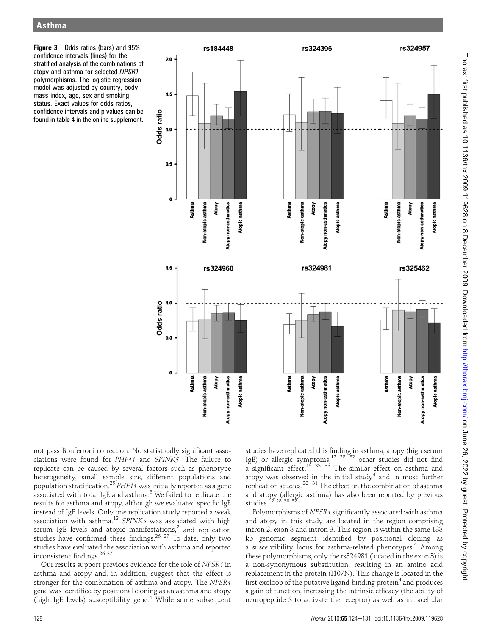Figure 3 Odds ratios (bars) and 95% confidence intervals (lines) for the stratified analysis of the combinations of atopy and asthma for selected NPSR1 polymorphisms. The logistic regression model was adjusted by country, body mass index, age, sex and smoking status. Exact values for odds ratios, confidence intervals and p values can be found in table 4 in the online supplement.



not pass Bonferroni correction. No statistically significant associations were found for PHF11 and SPINK5. The failure to replicate can be caused by several factors such as phenotype heterogeneity, small sample size, different populations and population stratification.<sup>25</sup> PHF11 was initially reported as a gene associated with total IgE and asthma.<sup>5</sup> We failed to replicate the results for asthma and atopy, although we evaluated specific IgE instead of IgE levels. Only one replication study reported a weak association with asthma.<sup>12</sup> SPINK5 was associated with high serum IgE levels and atopic manifestations, $^7$  and replication studies have confirmed these findings.<sup>26 27</sup> To date, only two studies have evaluated the association with asthma and reported inconsistent findings.26 27

Our results support previous evidence for the role of NPSR1 in asthma and atopy and, in addition, suggest that the effect is stronger for the combination of asthma and atopy. The NPSR1 gene was identified by positional cloning as an asthma and atopy (high IgE levels) susceptibility gene.<sup>4</sup> While some subsequent

studies have replicated this finding in asthma, atopy (high serum IgE) or allergic symptoms,<sup>12 28-32</sup> other studies did not find a significant effect.<sup>15</sup>  $33-35$  The similar effect on asthma and atopy was observed in the initial study<sup>4</sup> and in most further replication studies.<sup>28-31</sup> The effect on the combination of asthma and atopy (allergic asthma) has also been reported by previous studies.<sup>12</sup> 28 30 32

Polymorphisms of NPSR1 significantly associated with asthma and atopy in this study are located in the region comprising intron 2, exon 3 and intron 3. This region is within the same 133 kb genomic segment identified by positional cloning as a susceptibility locus for asthma-related phenotypes.<sup>4</sup> Among these polymorphisms, only the rs324981 (located in the exon 3) is a non-synonymous substitution, resulting in an amino acid replacement in the protein (I107N). This change is located in the first exoloop of the putative ligand-binding protein<sup>4</sup> and produces a gain of function, increasing the intrinsic efficacy (the ability of neuropeptide S to activate the receptor) as well as intracellular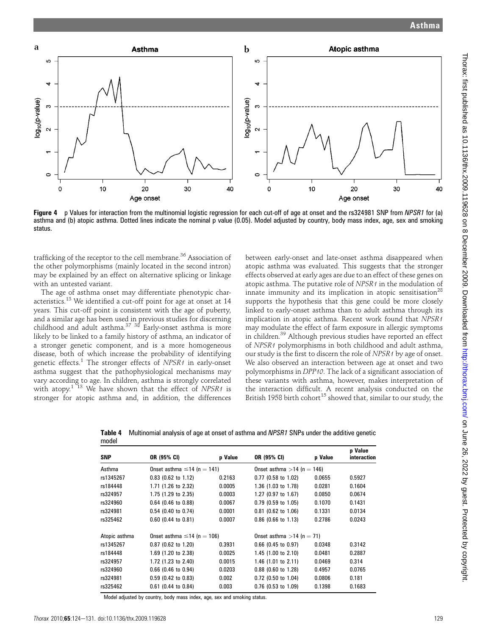

Figure 4 p Values for interaction from the multinomial logistic regression for each cut-off of age at onset and the rs324981 SNP from NPSR1 for (a) asthma and (b) atopic asthma. Dotted lines indicate the nominal p value (0.05). Model adjusted by country, body mass index, age, sex and smoking status.

trafficking of the receptor to the cell membrane.<sup>36</sup> Association of the other polymorphisms (mainly located in the second intron) may be explained by an effect on alternative splicing or linkage with an untested variant.

The age of asthma onset may differentiate phenotypic characteristics.<sup>13</sup> We identified a cut-off point for age at onset at 14 years. This cut-off point is consistent with the age of puberty, and a similar age has been used in previous studies for discerning childhood and adult asthma.<sup>37 38</sup> Early-onset asthma is more likely to be linked to a family history of asthma, an indicator of a stronger genetic component, and is a more homogeneous disease, both of which increase the probability of identifying genetic effects.<sup>1</sup> The stronger effects of NPSR1 in early-onset asthma suggest that the pathophysiological mechanisms may vary according to age. In children, asthma is strongly correlated with atopy.<sup>1 13</sup> We have shown that the effect of NPSR1 is stronger for atopic asthma and, in addition, the differences between early-onset and late-onset asthma disappeared when atopic asthma was evaluated. This suggests that the stronger effects observed at early ages are due to an effect of these genes on atopic asthma. The putative role of NPSR1 in the modulation of innate immunity and its implication in atopic sensitisation<sup>28</sup> supports the hypothesis that this gene could be more closely linked to early-onset asthma than to adult asthma through its implication in atopic asthma. Recent work found that NPSR1 may modulate the effect of farm exposure in allergic symptoms in children.<sup>39</sup> Although previous studies have reported an effect of NPSR1 polymorphisms in both childhood and adult asthma, our study is the first to discern the role of NPSR1 by age of onset. We also observed an interaction between age at onset and two polymorphisms in DPP10. The lack of a significant association of these variants with asthma, however, makes interpretation of the interaction difficult. A recent analysis conducted on the British 1958 birth cohort<sup>15</sup> showed that, similar to our study, the

Table 4 Multinomial analysis of age at onset of asthma and NPSR1 SNPs under the additive genetic model

| <b>SNP</b>    | OR (95% CI)                      | p Value | OR (95% CI)                  | p Value | p Value<br>interaction |
|---------------|----------------------------------|---------|------------------------------|---------|------------------------|
| Asthma        | Onset asthma $\leq$ 14 (n = 141) |         | Onset asthma $>14$ (n = 146) |         |                        |
| rs1345267     | $0.83$ (0.62 to 1.12)            | 0.2163  | $0.77$ (0.58 to 1.02)        | 0.0655  | 0.5927                 |
| rs184448      | 1.71 (1.26 to 2.32)              | 0.0005  | $1.36$ (1.03 to 1.78)        | 0.0281  | 0.1604                 |
| rs324957      | 1.75 (1.29 to 2.35)              | 0.0003  | $1.27$ (0.97 to 1.67)        | 0.0850  | 0.0674                 |
| rs324960      | $0.64$ (0.46 to 0.88)            | 0.0067  | $0.79$ (0.59 to 1.05)        | 0.1070  | 0.1431                 |
| rs324981      | $0.54$ (0.40 to 0.74)            | 0.0001  | $0.81$ (0.62 to 1.06)        | 0.1331  | 0.0134                 |
| rs325462      | $0.60$ (0.44 to 0.81)            | 0.0007  | $0.86$ (0.66 to 1.13)        | 0.2786  | 0.0243                 |
| Atopic asthma | Onset asthma $\leq$ 14 (n = 106) |         | Onset asthma $>14$ (n = 71)  |         |                        |
| rs1345267     | $0.87$ (0.62 to 1.20)            | 0.3931  | $0.66$ (0.45 to 0.97)        | 0.0348  | 0.3142                 |
| rs184448      | 1.69 (1.20 to 2.38)              | 0.0025  | 1.45 (1.00 to 2.10)          | 0.0481  | 0.2887                 |
| rs324957      | 1.72 (1.23 to 2.40)              | 0.0015  | 1.46 (1.01 to 2.11)          | 0.0469  | 0.314                  |
| rs324960      | $0.66$ (0.46 to 0.94)            | 0.0203  | 0.88 (0.60 to 1.28)          | 0.4957  | 0.0765                 |
| rs324981      | $0.59$ (0.42 to 0.83)            | 0.002   | $0.72$ (0.50 to 1.04)        | 0.0806  | 0.181                  |
| rs325462      | $0.61$ (0.44 to 0.84)            | 0.003   | 0.76 (0.53 to 1.09)          | 0.1398  | 0.1683                 |

Model adjusted by country, body mass index, age, sex and smoking status.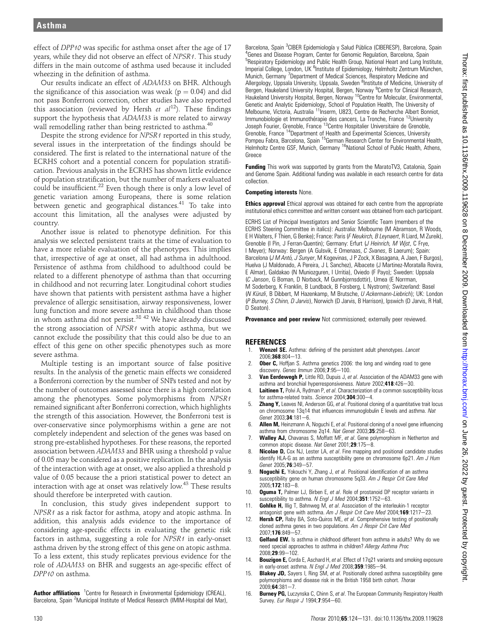effect of DPP10 was specific for asthma onset after the age of 17 years, while they did not observe an effect of NPSR1. This study differs in the main outcome of asthma used because it included wheezing in the definition of asthma.

Our results indicate an effect of ADAM33 on BHR. Although the significance of this association was weak ( $p = 0.04$ ) and did not pass Bonferroni correction, other studies have also reported this association (reviewed by Hersh et  $al^{12}$ ). These findings support the hypothesis that ADAM33 is more related to airway wall remodelling rather than being restricted to asthma.<sup>40</sup>

Despite the strong evidence for NPSR1 reported in this study, several issues in the interpretation of the findings should be considered. The first is related to the international nature of the ECRHS cohort and a potential concern for population stratification. Previous analysis in the ECRHS has shown little evidence of population stratification, but the number of markers evaluated could be insufficient.<sup>22</sup> Even though there is only a low level of genetic variation among Europeans, there is some relation between genetic and geographical distances.<sup>41</sup> To take into account this limitation, all the analyses were adjusted by country.

Another issue is related to phenotype definition. For this analysis we selected persistent traits at the time of evaluation to have a more reliable evaluation of the phenotypes. This implies that, irrespective of age at onset, all had asthma in adulthood. Persistence of asthma from childhood to adulthood could be related to a different phenotype of asthma than that occurring in childhood and not recurring later. Longitudinal cohort studies have shown that patients with persistent asthma have a higher prevalence of allergic sensitisation, airway responsiveness, lower lung function and more severe asthma in childhood than those in whom asthma did not persist.<sup>38 42</sup> We have already discussed the strong association of NPSR1 with atopic asthma, but we cannot exclude the possibility that this could also be due to an effect of this gene on other specific phenotypes such as more severe asthma.

Multiple testing is an important source of false positive results. In the analysis of the genetic main effects we considered a Bonferroni correction by the number of SNPs tested and not by the number of outcomes assessed since there is a high correlation among the phenotypes. Some polymorphisms from NPSR1 remained significant after Bonferroni correction, which highlights the strength of this association. However, the Bonferroni test is over-conservative since polymorphisms within a gene are not completely independent and selection of the genes was based on strong pre-established hypotheses. For these reasons, the reported association between ADAM33 and BHR using a threshold p value of 0.05 may be considered as a positive replication. In the analysis of the interaction with age at onset, we also applied a threshold p value of 0.05 because the a priori statistical power to detect an interaction with age at onset was relatively low.<sup>43</sup> These results should therefore be interpreted with caution.

In conclusion, this study gives independent support to NPSR1 as a risk factor for asthma, atopy and atopic asthma. In addition, this analysis adds evidence to the importance of considering age-specific effects in evaluating the genetic risk factors in asthma, suggesting a role for NPSR1 in early-onset asthma driven by the strong effect of this gene on atopic asthma. To a less extent, this study replicates previous evidence for the role of ADAM33 on BHR and suggests an age-specific effect of DPP10 on asthma.

Author affiliations <sup>1</sup> Centre for Research in Environmental Epidemiology (CREAL), Barcelona, Spain <sup>2</sup>Municipal Institute of Medical Research (IMIM-Hospital del Mar),

Barcelona, Spain <sup>3</sup>CIBER Epidemiología y Salud Pública (CIBERESP), Barcelona, Spain<br><sup>4</sup>Genes and Disease Program, Center for Genemic Bequlation, Barcelona, Spain <sup>4</sup>Genes and Disease Program, Center for Genomic Regulation, Barcelona, Spain <sup>5</sup>Respiratory Epidemiology and Public Health Group, National Heart and Lung Institute, Imperial College, London, UK <sup>6</sup>Institute of Epidemiology, Helmholtz Zentrum München, Munich, Germany <sup>7</sup>Department of Medical Sciences, Respiratory Medicine and Allergology, Uppsala University, Uppsala, Sweden <sup>8</sup>Institute of Medicine, University of Bergen, Haukeland University Hospital, Bergen, Norway <sup>9</sup> Centre for Clinical Research, Haukeland University Hospital, Bergen, Norway <sup>10</sup>Centre for Molecular, Environmental, Genetic and Analytic Epidemiology, School of Population Health, The University of Melbourne, Victoria, Australia 11Inserm, U823, Centre de Recherche Albert Bonniot, Immunobiologie et Immunothérapie des cancers, La Tronche, France <sup>12</sup>University Joseph Fourier, Grenoble, France 13Centre Hospitalier Universitaire de Grenoble, Grenoble, France 14Department of Health and Experimental Sciences, University Pompeu Fabra, Barcelona, Spain <sup>15</sup>German Research Center for Environmental Health, Helmholtz Centre GSF, Munich, Germany <sup>16</sup>National School of Public Health, Athens, Greece

Funding This work was supported by grants from the MaratoTV3, Catalonia, Spain and Genome Spain. Additional funding was available in each research centre for data collection.

#### Competing interests None.

**Ethics approval** Ethical approval was obtained for each centre from the appropriate institutional ethics committee and written consent was obtained from each participant.

ECRHS List of Principal Investigators and Senior Scientific Team (members of the ECRHS Steering Committee in italics): Australia: Melbourne (M Abramson, R Woods, E H Walters, F Thien, G Benke); France: Paris (F Neukirch, B Leynaert, R Liard, M Zureik), Grenoble (I Pin, J Ferran-Quentin); Germany: Erfurt (J Heinrich, M Wjst, C Frye, I Meyer); Norway: Bergen (A Gulsvik, E Omenaas, C Svanes, B Laerum); Spain: Barcelona (J M Antó, J Sunyer, M Kogevinas, J P Zock, X Basagana, A Jaen, F Burgos), Huelva (J Maldonado, A Pereira, J L Sanchez), Albacete (J Martinez-Moratalla Rovira, E Almar), Galdakao (N Muniozguren, I Urritia), Oviedo (F Payo); Sweden: Uppsala (C Janson, G Boman, D Norback, M Gunnbjornsdottir), Umea (E Norrman, M Soderberg, K Franklin, B Lundback, B Forsberg, L Nystrom); Switzerland: Basel (N Künzli, B Dibbert, M Hazenkamp, M Brutsche, U Ackermann-Liebrich); UK: London (P Burney, S Chinn, D Jarvis), Norwich (D Jarvis, B Harrison), Ipswich (D Jarvis, R Hall, D Seaton).

Provenance and peer review Not commissioned; externally peer reviewed.

### REFERENCES

- 1. Wenzel SE. Asthma: defining of the persistent adult phenotypes. Lancet  $2006:368:804-13$
- 2. **Ober C,** Hoffjan S. Asthma genetics 2006: the long and winding road to gene discovery. Genes Immun 2006;7:95-100.
- 3. Van Eerdewegh P, Little RD, Dupuis J, et al. Association of the ADAM33 gene with asthma and bronchial hyperresponsiveness. Nature 2002;418:426-30.
- 4. Laitinen T, Polvi A, Rydman P, et al. Characterization of a common susceptibility locus for asthma-related traits. Science 2004;304:300-4.
- 5. **Zhang Y,** Leaves NI, Anderson GG, et al. Positional cloning of a quantitative trait locus on chromosome 13q14 that influences immunoglobulin E levels and asthma. Nat Genet  $2003:34:181-6$
- 6. **Allen M,** Heinzmann A, Noguchi E, et al. Positional cloning of a novel gene influencing asthma from chromosome  $2q14$ . Nat Genet 2003;35:258-63.
- Walley AJ, Chavanas S, Moffatt MF, et al. Gene polymorphism in Netherton and common atopic disease. Nat Genet  $2001;29:175-8$ .
- Nicolae D, Cox NJ, Lester LA, et al. Fine mapping and positional candidate studies identify HLA-G as an asthma susceptibility gene on chromosome 6p21. Am J Hum Genet 2005;76:349-57.
- 9. **Noguchi E,** Yokouchi Y, Zhang J, et al. Positional identification of an asthma susceptibility gene on human chromosome 5q33. Am J Respir Crit Care Med 2005:172:183-8.
- 10. **Oguma T,** Palmer LJ, Birben E, et al. Role of prostanoid DP receptor variants in susceptibility to asthma. N Engl J Med 2004;351:1752-63.
- **Gohlke H, Illig T, Bahnweg M, et al. Association of the interleukin-1 receptor** antagonist gene with asthma. Am J Respir Crit Care Med 2004;169:1217-23.
- 12. **Hersh CP,** Raby BA, Soto-Quiros ME, et al. Comprehensive testing of positionally cloned asthma genes in two populations. Am J Respir Crit Care Med 2007;176:849-57.
- Gelfand EW. Is asthma in childhood different from asthma in adults? Why do we need special approaches to asthma in children? Allergy Asthma Proc 2008:29:99-102
- 14. Bouzigon E, Corda E, Aschard H, et al. Effect of 17q21 variants and smoking exposure in early-onset asthma. N Engl J Med 2008;359:1985-94.
- 15. **Blakey JD,** Sayers I, Ring SM, et al. Positionally cloned asthma susceptibility gene polymorphisms and disease risk in the British 1958 birth cohort. Thorax  $2009:64:381 - 7.$
- 16. Burney PG, Luczynska C, Chinn S, et al. The European Community Respiratory Health Survey. Eur Respir J 1994;7:954-60.